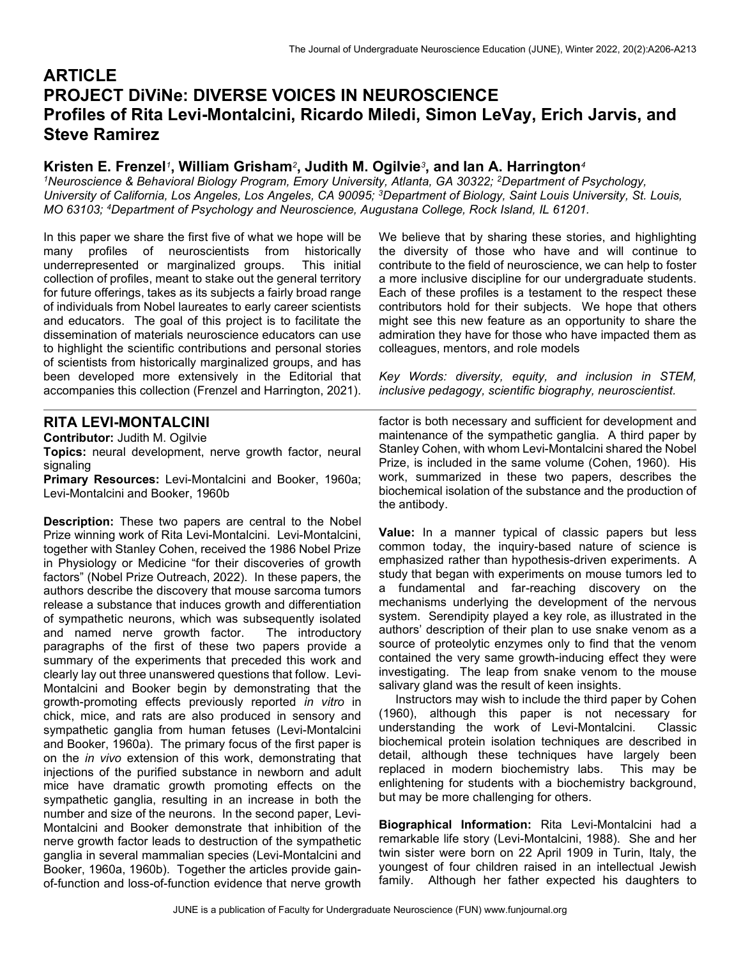# **ARTICLE** PROJECT DiViNe: DIVERSE VOICES IN NEUROSCIENCE Profiles of Rita Levi-Montalcini, Ricardo Miledi, Simon LeVay, Erich Jarvis, and Steve Ramirez

## Kristen E. Frenzel<sup>1</sup>, William Grisham<sup>2</sup>, Judith M. Ogilvie<sup>3</sup>, and lan A. Harrington<sup>4</sup>

<sup>1</sup>Neuroscience & Behavioral Biology Program, Emory University, Atlanta, GA 30322; <sup>2</sup>Department of Psychology, University of California, Los Angeles, Los Angeles, CA 90095; <sup>3</sup>Department of Biology, Saint Louis University, St. Louis, MO 63103; <sup>4</sup>Department of Psychology and Neuroscience, Augustana College, Rock Island, IL 61201.

In this paper we share the first five of what we hope will be many profiles of neuroscientists from historically underrepresented or marginalized groups. This initial collection of profiles, meant to stake out the general territory for future offerings, takes as its subjects a fairly broad range of individuals from Nobel laureates to early career scientists and educators. The goal of this project is to facilitate the dissemination of materials neuroscience educators can use to highlight the scientific contributions and personal stories of scientists from historically marginalized groups, and has been developed more extensively in the Editorial that accompanies this collection (Frenzel and Harrington, 2021).

#### We believe that by sharing these stories, and highlighting the diversity of those who have and will continue to contribute to the field of neuroscience, we can help to foster a more inclusive discipline for our undergraduate students. Each of these profiles is a testament to the respect these contributors hold for their subjects. We hope that others might see this new feature as an opportunity to share the admiration they have for those who have impacted them as colleagues, mentors, and role models

Key Words: diversity, equity, and inclusion in STEM, inclusive pedagogy, scientific biography, neuroscientist.

## RITA LEVI-MONTALCINI

Contributor: Judith M. Ogilvie

Topics: neural development, nerve growth factor, neural signaling

Primary Resources: Levi-Montalcini and Booker, 1960a; Levi-Montalcini and Booker, 1960b

Description: These two papers are central to the Nobel Prize winning work of Rita Levi-Montalcini. Levi-Montalcini, together with Stanley Cohen, received the 1986 Nobel Prize in Physiology or Medicine "for their discoveries of growth factors" (Nobel Prize Outreach, 2022). In these papers, the authors describe the discovery that mouse sarcoma tumors release a substance that induces growth and differentiation of sympathetic neurons, which was subsequently isolated and named nerve growth factor. The introductory paragraphs of the first of these two papers provide a summary of the experiments that preceded this work and clearly lay out three unanswered questions that follow. Levi-Montalcini and Booker begin by demonstrating that the growth-promoting effects previously reported in vitro in chick, mice, and rats are also produced in sensory and sympathetic ganglia from human fetuses (Levi-Montalcini and Booker, 1960a). The primary focus of the first paper is on the in vivo extension of this work, demonstrating that injections of the purified substance in newborn and adult mice have dramatic growth promoting effects on the sympathetic ganglia, resulting in an increase in both the number and size of the neurons. In the second paper, Levi-Montalcini and Booker demonstrate that inhibition of the nerve growth factor leads to destruction of the sympathetic ganglia in several mammalian species (Levi-Montalcini and Booker, 1960a, 1960b). Together the articles provide gainof-function and loss-of-function evidence that nerve growth

factor is both necessary and sufficient for development and maintenance of the sympathetic ganglia. A third paper by Stanley Cohen, with whom Levi-Montalcini shared the Nobel Prize, is included in the same volume (Cohen, 1960). His work, summarized in these two papers, describes the biochemical isolation of the substance and the production of the antibody.

Value: In a manner typical of classic papers but less common today, the inquiry-based nature of science is emphasized rather than hypothesis-driven experiments. A study that began with experiments on mouse tumors led to a fundamental and far-reaching discovery on the mechanisms underlying the development of the nervous system. Serendipity played a key role, as illustrated in the authors' description of their plan to use snake venom as a source of proteolytic enzymes only to find that the venom contained the very same growth-inducing effect they were investigating. The leap from snake venom to the mouse salivary gland was the result of keen insights.

 Instructors may wish to include the third paper by Cohen (1960), although this paper is not necessary for understanding the work of Levi-Montalcini. Classic biochemical protein isolation techniques are described in detail, although these techniques have largely been replaced in modern biochemistry labs. This may be enlightening for students with a biochemistry background, but may be more challenging for others.

Biographical Information: Rita Levi-Montalcini had a remarkable life story (Levi-Montalcini, 1988). She and her twin sister were born on 22 April 1909 in Turin, Italy, the youngest of four children raised in an intellectual Jewish family. Although her father expected his daughters to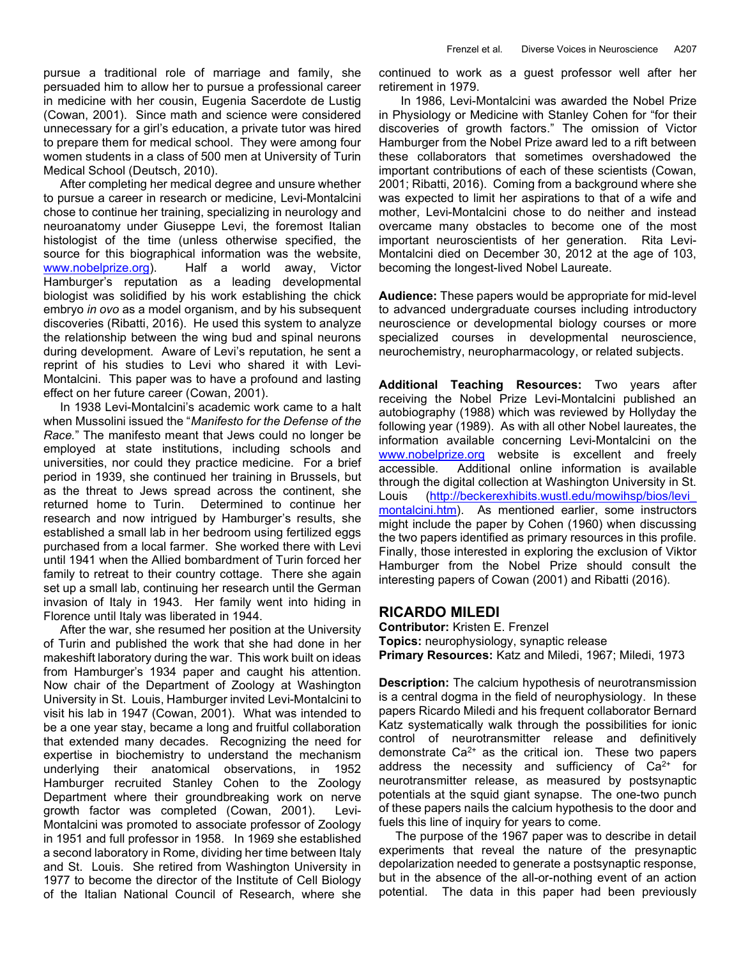pursue a traditional role of marriage and family, she persuaded him to allow her to pursue a professional career in medicine with her cousin, Eugenia Sacerdote de Lustig (Cowan, 2001). Since math and science were considered unnecessary for a girl's education, a private tutor was hired to prepare them for medical school. They were among four women students in a class of 500 men at University of Turin Medical School (Deutsch, 2010).

 After completing her medical degree and unsure whether to pursue a career in research or medicine, Levi-Montalcini chose to continue her training, specializing in neurology and neuroanatomy under Giuseppe Levi, the foremost Italian histologist of the time (unless otherwise specified, the source for this biographical information was the website, www.nobelprize.org). Half a world away, Victor Hamburger's reputation as a leading developmental biologist was solidified by his work establishing the chick embryo in ovo as a model organism, and by his subsequent discoveries (Ribatti, 2016). He used this system to analyze the relationship between the wing bud and spinal neurons during development. Aware of Levi's reputation, he sent a reprint of his studies to Levi who shared it with Levi-Montalcini. This paper was to have a profound and lasting effect on her future career (Cowan, 2001).

 In 1938 Levi-Montalcini's academic work came to a halt when Mussolini issued the "Manifesto for the Defense of the Race." The manifesto meant that Jews could no longer be employed at state institutions, including schools and universities, nor could they practice medicine. For a brief period in 1939, she continued her training in Brussels, but as the threat to Jews spread across the continent, she returned home to Turin. Determined to continue her research and now intrigued by Hamburger's results, she established a small lab in her bedroom using fertilized eggs purchased from a local farmer. She worked there with Levi until 1941 when the Allied bombardment of Turin forced her family to retreat to their country cottage. There she again set up a small lab, continuing her research until the German invasion of Italy in 1943. Her family went into hiding in Florence until Italy was liberated in 1944.

 After the war, she resumed her position at the University of Turin and published the work that she had done in her makeshift laboratory during the war. This work built on ideas from Hamburger's 1934 paper and caught his attention. Now chair of the Department of Zoology at Washington University in St. Louis, Hamburger invited Levi-Montalcini to visit his lab in 1947 (Cowan, 2001). What was intended to be a one year stay, became a long and fruitful collaboration that extended many decades. Recognizing the need for expertise in biochemistry to understand the mechanism underlying their anatomical observations, in 1952 Hamburger recruited Stanley Cohen to the Zoology Department where their groundbreaking work on nerve growth factor was completed (Cowan, 2001). Levi-Montalcini was promoted to associate professor of Zoology in 1951 and full professor in 1958. In 1969 she established a second laboratory in Rome, dividing her time between Italy and St. Louis. She retired from Washington University in 1977 to become the director of the Institute of Cell Biology of the Italian National Council of Research, where she continued to work as a guest professor well after her retirement in 1979.

In 1986, Levi-Montalcini was awarded the Nobel Prize in Physiology or Medicine with Stanley Cohen for "for their discoveries of growth factors." The omission of Victor Hamburger from the Nobel Prize award led to a rift between these collaborators that sometimes overshadowed the important contributions of each of these scientists (Cowan, 2001; Ribatti, 2016). Coming from a background where she was expected to limit her aspirations to that of a wife and mother, Levi-Montalcini chose to do neither and instead overcame many obstacles to become one of the most important neuroscientists of her generation. Rita Levi-Montalcini died on December 30, 2012 at the age of 103, becoming the longest-lived Nobel Laureate.

Audience: These papers would be appropriate for mid-level to advanced undergraduate courses including introductory neuroscience or developmental biology courses or more specialized courses in developmental neuroscience, neurochemistry, neuropharmacology, or related subjects.

Additional Teaching Resources: Two years after receiving the Nobel Prize Levi-Montalcini published an autobiography (1988) which was reviewed by Hollyday the following year (1989). As with all other Nobel laureates, the information available concerning Levi-Montalcini on the www.nobelprize.org website is excellent and freely accessible. Additional online information is available through the digital collection at Washington University in St. Louis (http://beckerexhibits.wustl.edu/mowihsp/bios/levi\_ montalcini.htm). As mentioned earlier, some instructors might include the paper by Cohen (1960) when discussing the two papers identified as primary resources in this profile. Finally, those interested in exploring the exclusion of Viktor Hamburger from the Nobel Prize should consult the interesting papers of Cowan (2001) and Ribatti (2016).

#### RICARDO MILEDI

Contributor: Kristen E. Frenzel Topics: neurophysiology, synaptic release Primary Resources: Katz and Miledi, 1967; Miledi, 1973

**Description:** The calcium hypothesis of neurotransmission is a central dogma in the field of neurophysiology. In these papers Ricardo Miledi and his frequent collaborator Bernard Katz systematically walk through the possibilities for ionic control of neurotransmitter release and definitively demonstrate  $Ca^{2+}$  as the critical ion. These two papers address the necessity and sufficiency of  $Ca<sup>2+</sup>$  for neurotransmitter release, as measured by postsynaptic potentials at the squid giant synapse. The one-two punch of these papers nails the calcium hypothesis to the door and fuels this line of inquiry for years to come.

 The purpose of the 1967 paper was to describe in detail experiments that reveal the nature of the presynaptic depolarization needed to generate a postsynaptic response, but in the absence of the all-or-nothing event of an action potential. The data in this paper had been previously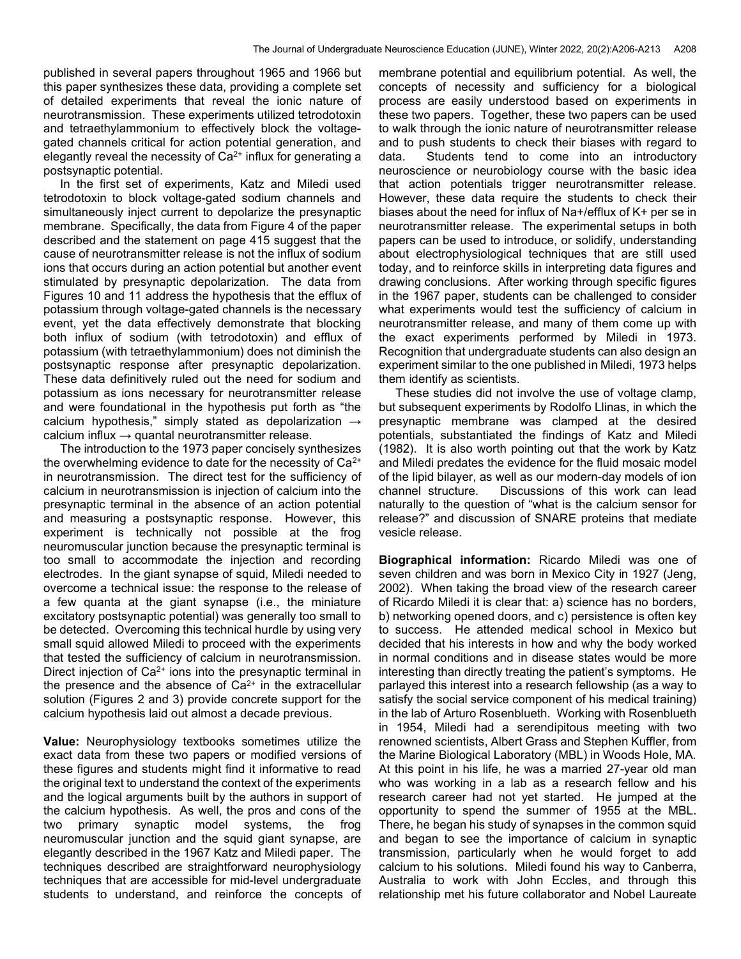published in several papers throughout 1965 and 1966 but this paper synthesizes these data, providing a complete set of detailed experiments that reveal the ionic nature of neurotransmission. These experiments utilized tetrodotoxin and tetraethylammonium to effectively block the voltagegated channels critical for action potential generation, and elegantly reveal the necessity of  $Ca<sup>2+</sup>$  influx for generating a postsynaptic potential.

 In the first set of experiments, Katz and Miledi used tetrodotoxin to block voltage-gated sodium channels and simultaneously inject current to depolarize the presynaptic membrane. Specifically, the data from Figure 4 of the paper described and the statement on page 415 suggest that the cause of neurotransmitter release is not the influx of sodium ions that occurs during an action potential but another event stimulated by presynaptic depolarization. The data from Figures 10 and 11 address the hypothesis that the efflux of potassium through voltage-gated channels is the necessary event, yet the data effectively demonstrate that blocking both influx of sodium (with tetrodotoxin) and efflux of potassium (with tetraethylammonium) does not diminish the postsynaptic response after presynaptic depolarization. These data definitively ruled out the need for sodium and potassium as ions necessary for neurotransmitter release and were foundational in the hypothesis put forth as "the calcium hypothesis," simply stated as depolarization  $\rightarrow$ calcium influx  $\rightarrow$  quantal neurotransmitter release.

 The introduction to the 1973 paper concisely synthesizes the overwhelming evidence to date for the necessity of Ca2+ in neurotransmission. The direct test for the sufficiency of calcium in neurotransmission is injection of calcium into the presynaptic terminal in the absence of an action potential and measuring a postsynaptic response. However, this experiment is technically not possible at the frog neuromuscular junction because the presynaptic terminal is too small to accommodate the injection and recording electrodes. In the giant synapse of squid, Miledi needed to overcome a technical issue: the response to the release of a few quanta at the giant synapse (i.e., the miniature excitatory postsynaptic potential) was generally too small to be detected. Overcoming this technical hurdle by using very small squid allowed Miledi to proceed with the experiments that tested the sufficiency of calcium in neurotransmission. Direct injection of Ca<sup>2+</sup> ions into the presynaptic terminal in the presence and the absence of  $Ca<sup>2+</sup>$  in the extracellular solution (Figures 2 and 3) provide concrete support for the calcium hypothesis laid out almost a decade previous.

Value: Neurophysiology textbooks sometimes utilize the exact data from these two papers or modified versions of these figures and students might find it informative to read the original text to understand the context of the experiments and the logical arguments built by the authors in support of the calcium hypothesis. As well, the pros and cons of the two primary synaptic model systems, the frog neuromuscular junction and the squid giant synapse, are elegantly described in the 1967 Katz and Miledi paper. The techniques described are straightforward neurophysiology techniques that are accessible for mid-level undergraduate students to understand, and reinforce the concepts of membrane potential and equilibrium potential. As well, the concepts of necessity and sufficiency for a biological process are easily understood based on experiments in these two papers. Together, these two papers can be used to walk through the ionic nature of neurotransmitter release and to push students to check their biases with regard to data. Students tend to come into an introductory neuroscience or neurobiology course with the basic idea that action potentials trigger neurotransmitter release. However, these data require the students to check their biases about the need for influx of Na+/efflux of K+ per se in neurotransmitter release. The experimental setups in both papers can be used to introduce, or solidify, understanding about electrophysiological techniques that are still used today, and to reinforce skills in interpreting data figures and drawing conclusions. After working through specific figures in the 1967 paper, students can be challenged to consider what experiments would test the sufficiency of calcium in neurotransmitter release, and many of them come up with the exact experiments performed by Miledi in 1973. Recognition that undergraduate students can also design an experiment similar to the one published in Miledi, 1973 helps them identify as scientists.

 These studies did not involve the use of voltage clamp, but subsequent experiments by Rodolfo Llinas, in which the presynaptic membrane was clamped at the desired potentials, substantiated the findings of Katz and Miledi (1982). It is also worth pointing out that the work by Katz and Miledi predates the evidence for the fluid mosaic model of the lipid bilayer, as well as our modern-day models of ion channel structure. Discussions of this work can lead naturally to the question of "what is the calcium sensor for release?" and discussion of SNARE proteins that mediate vesicle release.

Biographical information: Ricardo Miledi was one of seven children and was born in Mexico City in 1927 (Jeng, 2002). When taking the broad view of the research career of Ricardo Miledi it is clear that: a) science has no borders, b) networking opened doors, and c) persistence is often key to success. He attended medical school in Mexico but decided that his interests in how and why the body worked in normal conditions and in disease states would be more interesting than directly treating the patient's symptoms. He parlayed this interest into a research fellowship (as a way to satisfy the social service component of his medical training) in the lab of Arturo Rosenblueth. Working with Rosenblueth in 1954, Miledi had a serendipitous meeting with two renowned scientists, Albert Grass and Stephen Kuffler, from the Marine Biological Laboratory (MBL) in Woods Hole, MA. At this point in his life, he was a married 27-year old man who was working in a lab as a research fellow and his research career had not yet started. He jumped at the opportunity to spend the summer of 1955 at the MBL. There, he began his study of synapses in the common squid and began to see the importance of calcium in synaptic transmission, particularly when he would forget to add calcium to his solutions. Miledi found his way to Canberra, Australia to work with John Eccles, and through this relationship met his future collaborator and Nobel Laureate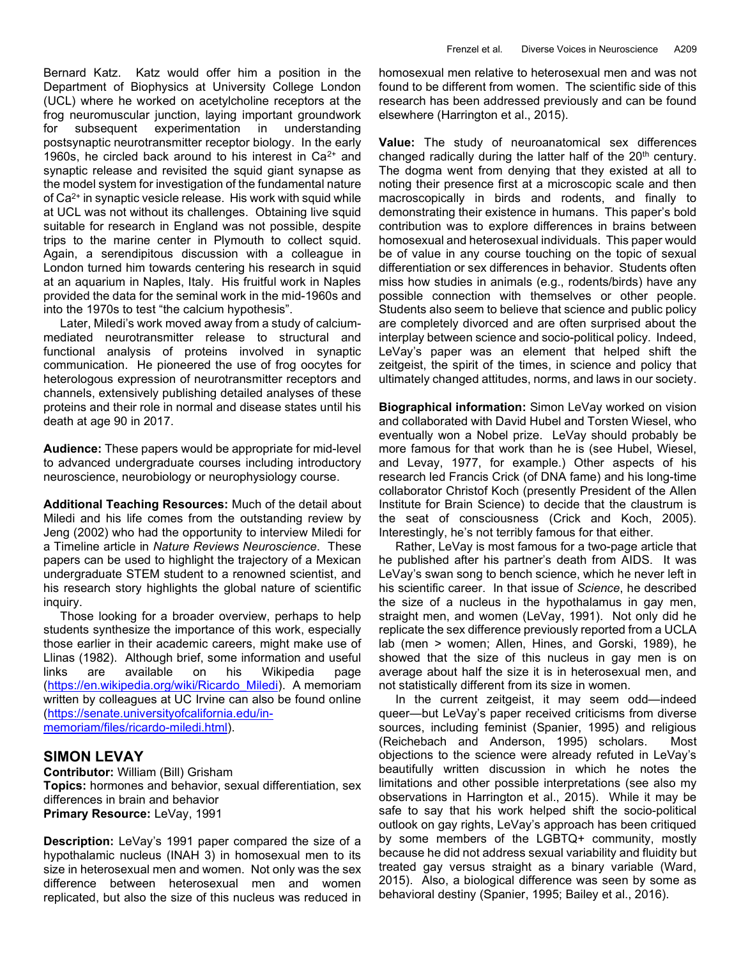Bernard Katz. Katz would offer him a position in the Department of Biophysics at University College London (UCL) where he worked on acetylcholine receptors at the frog neuromuscular junction, laying important groundwork for subsequent experimentation in understanding postsynaptic neurotransmitter receptor biology. In the early 1960s, he circled back around to his interest in  $Ca<sup>2+</sup>$  and synaptic release and revisited the squid giant synapse as the model system for investigation of the fundamental nature of Ca2+ in synaptic vesicle release. His work with squid while at UCL was not without its challenges. Obtaining live squid suitable for research in England was not possible, despite trips to the marine center in Plymouth to collect squid. Again, a serendipitous discussion with a colleague in London turned him towards centering his research in squid at an aquarium in Naples, Italy. His fruitful work in Naples provided the data for the seminal work in the mid-1960s and into the 1970s to test "the calcium hypothesis".

 Later, Miledi's work moved away from a study of calciummediated neurotransmitter release to structural and functional analysis of proteins involved in synaptic communication. He pioneered the use of frog oocytes for heterologous expression of neurotransmitter receptors and channels, extensively publishing detailed analyses of these proteins and their role in normal and disease states until his death at age 90 in 2017.

Audience: These papers would be appropriate for mid-level to advanced undergraduate courses including introductory neuroscience, neurobiology or neurophysiology course.

Additional Teaching Resources: Much of the detail about Miledi and his life comes from the outstanding review by Jeng (2002) who had the opportunity to interview Miledi for a Timeline article in Nature Reviews Neuroscience. These papers can be used to highlight the trajectory of a Mexican undergraduate STEM student to a renowned scientist, and his research story highlights the global nature of scientific inquiry.

 Those looking for a broader overview, perhaps to help students synthesize the importance of this work, especially those earlier in their academic careers, might make use of Llinas (1982). Although brief, some information and useful links are available on his Wikipedia page (https://en.wikipedia.org/wiki/Ricardo\_Miledi). A memoriam written by colleagues at UC Irvine can also be found online (https://senate.universityofcalifornia.edu/inmemoriam/files/ricardo-miledi.html).

### SIMON LEVAY

Contributor: William (Bill) Grisham Topics: hormones and behavior, sexual differentiation, sex differences in brain and behavior Primary Resource: LeVay, 1991

Description: LeVay's 1991 paper compared the size of a hypothalamic nucleus (INAH 3) in homosexual men to its size in heterosexual men and women. Not only was the sex difference between heterosexual men and women replicated, but also the size of this nucleus was reduced in

homosexual men relative to heterosexual men and was not found to be different from women. The scientific side of this research has been addressed previously and can be found elsewhere (Harrington et al., 2015).

Value: The study of neuroanatomical sex differences changed radically during the latter half of the 20<sup>th</sup> century. The dogma went from denying that they existed at all to noting their presence first at a microscopic scale and then macroscopically in birds and rodents, and finally to demonstrating their existence in humans. This paper's bold contribution was to explore differences in brains between homosexual and heterosexual individuals. This paper would be of value in any course touching on the topic of sexual differentiation or sex differences in behavior. Students often miss how studies in animals (e.g., rodents/birds) have any possible connection with themselves or other people. Students also seem to believe that science and public policy are completely divorced and are often surprised about the interplay between science and socio-political policy. Indeed, LeVay's paper was an element that helped shift the zeitgeist, the spirit of the times, in science and policy that ultimately changed attitudes, norms, and laws in our society.

Biographical information: Simon LeVay worked on vision and collaborated with David Hubel and Torsten Wiesel, who eventually won a Nobel prize. LeVay should probably be more famous for that work than he is (see Hubel, Wiesel, and Levay, 1977, for example.) Other aspects of his research led Francis Crick (of DNA fame) and his long-time collaborator Christof Koch (presently President of the Allen Institute for Brain Science) to decide that the claustrum is the seat of consciousness (Crick and Koch, 2005). Interestingly, he's not terribly famous for that either.

 Rather, LeVay is most famous for a two-page article that he published after his partner's death from AIDS. It was LeVay's swan song to bench science, which he never left in his scientific career. In that issue of Science, he described the size of a nucleus in the hypothalamus in gay men, straight men, and women (LeVay, 1991). Not only did he replicate the sex difference previously reported from a UCLA lab (men > women; Allen, Hines, and Gorski, 1989), he showed that the size of this nucleus in gay men is on average about half the size it is in heterosexual men, and not statistically different from its size in women.

 In the current zeitgeist, it may seem odd—indeed queer—but LeVay's paper received criticisms from diverse sources, including feminist (Spanier, 1995) and religious (Reichebach and Anderson, 1995) scholars. Most objections to the science were already refuted in LeVay's beautifully written discussion in which he notes the limitations and other possible interpretations (see also my observations in Harrington et al., 2015). While it may be safe to say that his work helped shift the socio-political outlook on gay rights, LeVay's approach has been critiqued by some members of the LGBTQ+ community, mostly because he did not address sexual variability and fluidity but treated gay versus straight as a binary variable (Ward, 2015). Also, a biological difference was seen by some as behavioral destiny (Spanier, 1995; Bailey et al., 2016).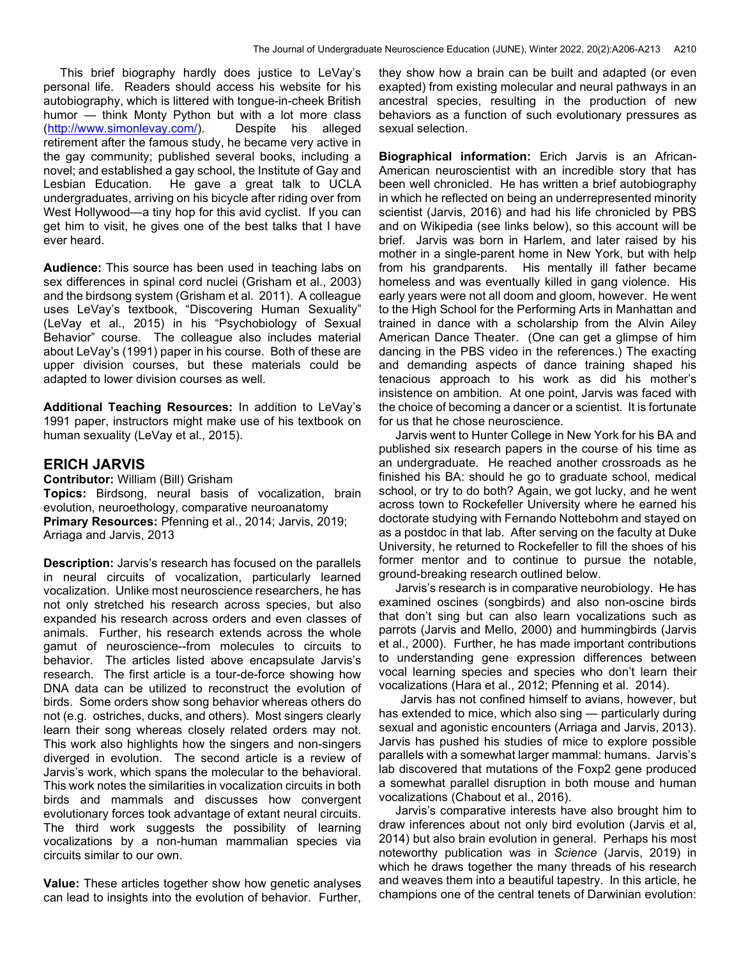This brief biography hardly does justice to LeVay's personal life. Readers should access his website for his autobiography, which is littered with tongue-in-cheek British humor — think Monty Python but with a lot more class (http://www.simonlevay.com/). Despite his alleged retirement after the famous study, he became very active in the gay community; published several books, including a novel; and established a gay school, the Institute of Gay and Lesbian Education. He gave a great talk to UCLA undergraduates, arriving on his bicycle after riding over from West Hollywood—a tiny hop for this avid cyclist. If you can get him to visit, he gives one of the best talks that I have ever heard.

Audience: This source has been used in teaching labs on sex differences in spinal cord nuclei (Grisham et al., 2003) and the birdsong system (Grisham et al. 2011). A colleague uses LeVay's textbook, "Discovering Human Sexuality" (LeVay et al., 2015) in his "Psychobiology of Sexual Behavior" course. The colleague also includes material about LeVay's (1991) paper in his course. Both of these are upper division courses, but these materials could be adapted to lower division courses as well.

Additional Teaching Resources: In addition to LeVay's 1991 paper, instructors might make use of his textbook on human sexuality (LeVay et al., 2015).

### ERICH JARVIS

Contributor: William (Bill) Grisham Topics: Birdsong, neural basis of vocalization, brain evolution, neuroethology, comparative neuroanatomy Primary Resources: Pfenning et al., 2014; Jarvis, 2019; Arriaga and Jarvis, 2013

Description: Jarvis's research has focused on the parallels in neural circuits of vocalization, particularly learned vocalization. Unlike most neuroscience researchers, he has not only stretched his research across species, but also expanded his research across orders and even classes of animals. Further, his research extends across the whole gamut of neuroscience--from molecules to circuits to behavior. The articles listed above encapsulate Jarvis's research. The first article is a tour-de-force showing how DNA data can be utilized to reconstruct the evolution of birds. Some orders show song behavior whereas others do not (e.g. ostriches, ducks, and others). Most singers clearly learn their song whereas closely related orders may not. This work also highlights how the singers and non-singers diverged in evolution. The second article is a review of Jarvis's work, which spans the molecular to the behavioral. This work notes the similarities in vocalization circuits in both birds and mammals and discusses how convergent evolutionary forces took advantage of extant neural circuits. The third work suggests the possibility of learning vocalizations by a non-human mammalian species via circuits similar to our own.

Value: These articles together show how genetic analyses can lead to insights into the evolution of behavior. Further, they show how a brain can be built and adapted (or even exapted) from existing molecular and neural pathways in an ancestral species, resulting in the production of new behaviors as a function of such evolutionary pressures as sexual selection.

Biographical information: Erich Jarvis is an African-American neuroscientist with an incredible story that has been well chronicled. He has written a brief autobiography in which he reflected on being an underrepresented minority scientist (Jarvis, 2016) and had his life chronicled by PBS and on Wikipedia (see links below), so this account will be brief. Jarvis was born in Harlem, and later raised by his mother in a single-parent home in New York, but with help from his grandparents. His mentally ill father became homeless and was eventually killed in gang violence. His early years were not all doom and gloom, however. He went to the High School for the Performing Arts in Manhattan and trained in dance with a scholarship from the Alvin Ailey American Dance Theater. (One can get a glimpse of him dancing in the PBS video in the references.) The exacting and demanding aspects of dance training shaped his tenacious approach to his work as did his mother's insistence on ambition. At one point, Jarvis was faced with the choice of becoming a dancer or a scientist. It is fortunate for us that he chose neuroscience.

 Jarvis went to Hunter College in New York for his BA and published six research papers in the course of his time as an undergraduate. He reached another crossroads as he finished his BA: should he go to graduate school, medical school, or try to do both? Again, we got lucky, and he went across town to Rockefeller University where he earned his doctorate studying with Fernando Nottebohm and stayed on as a postdoc in that lab. After serving on the faculty at Duke University, he returned to Rockefeller to fill the shoes of his former mentor and to continue to pursue the notable, ground-breaking research outlined below.

 Jarvis's research is in comparative neurobiology. He has examined oscines (songbirds) and also non-oscine birds that don't sing but can also learn vocalizations such as parrots (Jarvis and Mello, 2000) and hummingbirds (Jarvis et al., 2000). Further, he has made important contributions to understanding gene expression differences between vocal learning species and species who don't learn their vocalizations (Hara et al., 2012; Pfenning et al. 2014).

Jarvis has not confined himself to avians, however, but has extended to mice, which also sing — particularly during sexual and agonistic encounters (Arriaga and Jarvis, 2013). Jarvis has pushed his studies of mice to explore possible parallels with a somewhat larger mammal: humans. Jarvis's lab discovered that mutations of the Foxp2 gene produced a somewhat parallel disruption in both mouse and human vocalizations (Chabout et al., 2016).

 Jarvis's comparative interests have also brought him to draw inferences about not only bird evolution (Jarvis et al, 2014) but also brain evolution in general. Perhaps his most noteworthy publication was in Science (Jarvis, 2019) in which he draws together the many threads of his research and weaves them into a beautiful tapestry. In this article, he champions one of the central tenets of Darwinian evolution: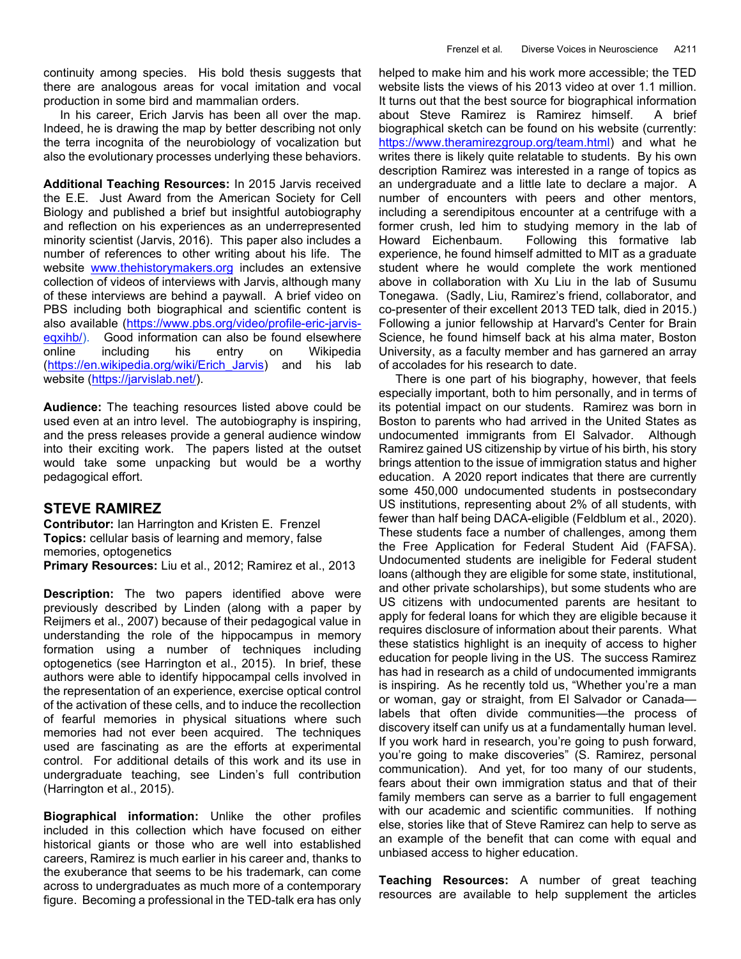continuity among species. His bold thesis suggests that there are analogous areas for vocal imitation and vocal production in some bird and mammalian orders.

 In his career, Erich Jarvis has been all over the map. Indeed, he is drawing the map by better describing not only the terra incognita of the neurobiology of vocalization but also the evolutionary processes underlying these behaviors.

Additional Teaching Resources: In 2015 Jarvis received the E.E. Just Award from the American Society for Cell Biology and published a brief but insightful autobiography and reflection on his experiences as an underrepresented minority scientist (Jarvis, 2016). This paper also includes a number of references to other writing about his life. The website www.thehistorymakers.org includes an extensive collection of videos of interviews with Jarvis, although many of these interviews are behind a paywall. A brief video on PBS including both biographical and scientific content is also available (https://www.pbs.org/video/profile-eric-jarviseqxihb/). Good information can also be found elsewhere online including his entry on Wikipedia (https://en.wikipedia.org/wiki/Erich\_Jarvis) and his lab website (https://jarvislab.net/).

Audience: The teaching resources listed above could be used even at an intro level. The autobiography is inspiring, and the press releases provide a general audience window into their exciting work. The papers listed at the outset would take some unpacking but would be a worthy pedagogical effort.

## STEVE RAMIREZ

Contributor: Ian Harrington and Kristen E. Frenzel Topics: cellular basis of learning and memory, false memories, optogenetics Primary Resources: Liu et al., 2012; Ramirez et al., 2013

Description: The two papers identified above were previously described by Linden (along with a paper by Reijmers et al., 2007) because of their pedagogical value in understanding the role of the hippocampus in memory formation using a number of techniques including optogenetics (see Harrington et al., 2015). In brief, these authors were able to identify hippocampal cells involved in the representation of an experience, exercise optical control of the activation of these cells, and to induce the recollection of fearful memories in physical situations where such memories had not ever been acquired. The techniques used are fascinating as are the efforts at experimental control. For additional details of this work and its use in undergraduate teaching, see Linden's full contribution (Harrington et al., 2015).

Biographical information: Unlike the other profiles included in this collection which have focused on either historical giants or those who are well into established careers, Ramirez is much earlier in his career and, thanks to the exuberance that seems to be his trademark, can come across to undergraduates as much more of a contemporary figure. Becoming a professional in the TED-talk era has only helped to make him and his work more accessible; the TED website lists the views of his 2013 video at over 1.1 million. It turns out that the best source for biographical information about Steve Ramirez is Ramirez himself. A brief biographical sketch can be found on his website (currently: https://www.theramirezgroup.org/team.html) and what he writes there is likely quite relatable to students. By his own description Ramirez was interested in a range of topics as an undergraduate and a little late to declare a major. A number of encounters with peers and other mentors, including a serendipitous encounter at a centrifuge with a former crush, led him to studying memory in the lab of Howard Eichenbaum. Following this formative lab experience, he found himself admitted to MIT as a graduate student where he would complete the work mentioned above in collaboration with Xu Liu in the lab of Susumu Tonegawa. (Sadly, Liu, Ramirez's friend, collaborator, and co-presenter of their excellent 2013 TED talk, died in 2015.) Following a junior fellowship at Harvard's Center for Brain Science, he found himself back at his alma mater, Boston University, as a faculty member and has garnered an array of accolades for his research to date.

 There is one part of his biography, however, that feels especially important, both to him personally, and in terms of its potential impact on our students. Ramirez was born in Boston to parents who had arrived in the United States as undocumented immigrants from El Salvador. Although Ramirez gained US citizenship by virtue of his birth, his story brings attention to the issue of immigration status and higher education. A 2020 report indicates that there are currently some 450,000 undocumented students in postsecondary US institutions, representing about 2% of all students, with fewer than half being DACA-eligible (Feldblum et al., 2020). These students face a number of challenges, among them the Free Application for Federal Student Aid (FAFSA). Undocumented students are ineligible for Federal student loans (although they are eligible for some state, institutional, and other private scholarships), but some students who are US citizens with undocumented parents are hesitant to apply for federal loans for which they are eligible because it requires disclosure of information about their parents. What these statistics highlight is an inequity of access to higher education for people living in the US. The success Ramirez has had in research as a child of undocumented immigrants is inspiring. As he recently told us, "Whether you're a man or woman, gay or straight, from El Salvador or Canada labels that often divide communities—the process of discovery itself can unify us at a fundamentally human level. If you work hard in research, you're going to push forward, you're going to make discoveries" (S. Ramirez, personal communication). And yet, for too many of our students, fears about their own immigration status and that of their family members can serve as a barrier to full engagement with our academic and scientific communities. If nothing else, stories like that of Steve Ramirez can help to serve as an example of the benefit that can come with equal and unbiased access to higher education.

Teaching Resources: A number of great teaching resources are available to help supplement the articles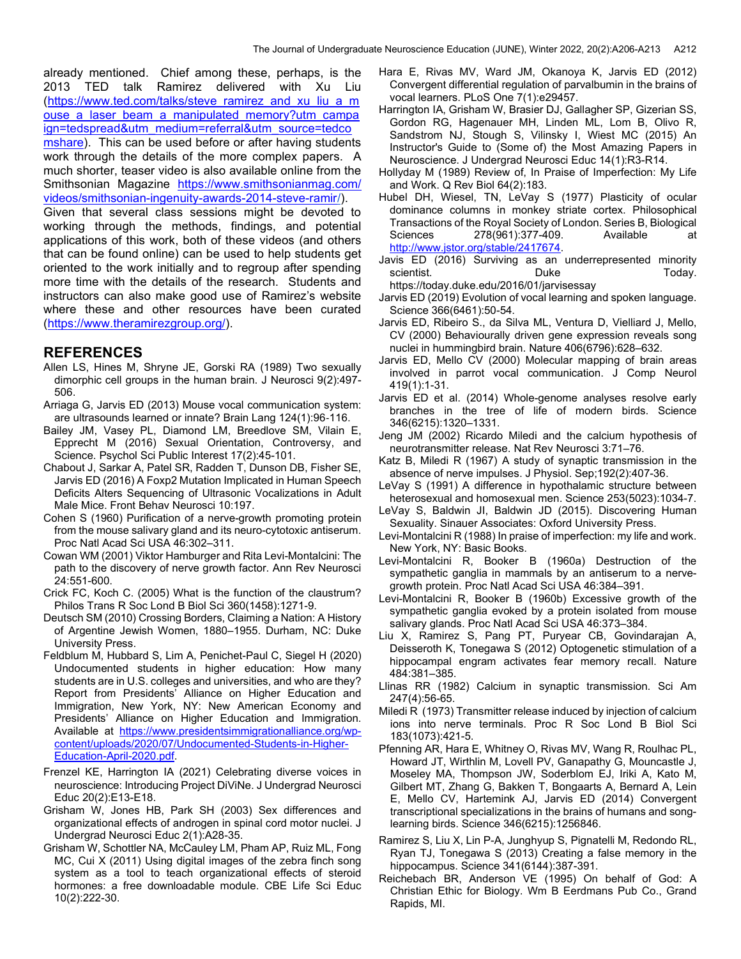already mentioned. Chief among these, perhaps, is the 2013 TED talk Ramirez delivered with Xu Liu (https://www.ted.com/talks/steve\_ramirez\_and\_xu\_liu\_a\_m ouse a laser beam a manipulated memory?utm campa ign=tedspread&utm\_medium=referral&utm\_source=tedco mshare). This can be used before or after having students work through the details of the more complex papers. A much shorter, teaser video is also available online from the Smithsonian Magazine https://www.smithsonianmag.com/ videos/smithsonian-ingenuity-awards-2014-steve-ramir/).

Given that several class sessions might be devoted to working through the methods, findings, and potential applications of this work, both of these videos (and others that can be found online) can be used to help students get oriented to the work initially and to regroup after spending more time with the details of the research. Students and instructors can also make good use of Ramirez's website where these and other resources have been curated (https://www.theramirezgroup.org/).

#### REFERENCES

- Allen LS, Hines M, Shryne JE, Gorski RA (1989) Two sexually dimorphic cell groups in the human brain. J Neurosci 9(2):497- 506.
- Arriaga G, Jarvis ED (2013) Mouse vocal communication system: are ultrasounds learned or innate? Brain Lang 124(1):96‐116.
- Bailey JM, Vasey PL, Diamond LM, Breedlove SM, Vilain E, Epprecht M (2016) Sexual Orientation, Controversy, and Science. Psychol Sci Public Interest 17(2):45-101.
- Chabout J, Sarkar A, Patel SR, Radden T, Dunson DB, Fisher SE, Jarvis ED (2016) A Foxp2 Mutation Implicated in Human Speech Deficits Alters Sequencing of Ultrasonic Vocalizations in Adult Male Mice. Front Behav Neurosci 10:197.
- Cohen S (1960) Purification of a nerve-growth promoting protein from the mouse salivary gland and its neuro-cytotoxic antiserum. Proc Natl Acad Sci USA 46:302–311.
- Cowan WM (2001) Viktor Hamburger and Rita Levi-Montalcini: The path to the discovery of nerve growth factor. Ann Rev Neurosci 24:551-600.
- Crick FC, Koch C. (2005) What is the function of the claustrum? Philos Trans R Soc Lond B Biol Sci 360(1458):1271-9.
- Deutsch SM (2010) Crossing Borders, Claiming a Nation: A History of Argentine Jewish Women, 1880–1955. Durham, NC: Duke University Press.
- Feldblum M, Hubbard S, Lim A, Penichet-Paul C, Siegel H (2020) Undocumented students in higher education: How many students are in U.S. colleges and universities, and who are they? Report from Presidents' Alliance on Higher Education and Immigration, New York, NY: New American Economy and Presidents' Alliance on Higher Education and Immigration. Available at https://www.presidentsimmigrationalliance.org/wpcontent/uploads/2020/07/Undocumented-Students-in-Higher-Education-April-2020.pdf.
- Frenzel KE, Harrington IA (2021) Celebrating diverse voices in neuroscience: Introducing Project DiViNe. J Undergrad Neurosci Educ 20(2):E13-E18.
- Grisham W, Jones HB, Park SH (2003) Sex differences and organizational effects of androgen in spinal cord motor nuclei. J Undergrad Neurosci Educ 2(1):A28-35.
- Grisham W, Schottler NA, McCauley LM, Pham AP, Ruiz ML, Fong MC, Cui X (2011) Using digital images of the zebra finch song system as a tool to teach organizational effects of steroid hormones: a free downloadable module. CBE Life Sci Educ 10(2):222-30.
- Hara E, Rivas MV, Ward JM, Okanoya K, Jarvis ED (2012) Convergent differential regulation of parvalbumin in the brains of vocal learners. PLoS One 7(1):e29457.
- Harrington IA, Grisham W, Brasier DJ, Gallagher SP, Gizerian SS, Gordon RG, Hagenauer MH, Linden ML, Lom B, Olivo R, Sandstrom NJ, Stough S, Vilinsky I, Wiest MC (2015) An Instructor's Guide to (Some of) the Most Amazing Papers in Neuroscience. J Undergrad Neurosci Educ 14(1):R3-R14.
- Hollyday M (1989) Review of, In Praise of Imperfection: My Life and Work. Q Rev Biol 64(2):183.
- Hubel DH, Wiesel, TN, LeVay S (1977) Plasticity of ocular dominance columns in monkey striate cortex. Philosophical Transactions of the Royal Society of London. Series B, Biological Sciences 278(961):377-409. Available at http://www.jstor.org/stable/2417674.
- Javis ED (2016) Surviving as an underrepresented minority scientist. Contract Duke Today.

https://today.duke.edu/2016/01/jarvisessay

- Jarvis ED (2019) Evolution of vocal learning and spoken language. Science 366(6461):50-54.
- Jarvis ED, Ribeiro S., da Silva ML, Ventura D, Vielliard J, Mello, CV (2000) Behaviourally driven gene expression reveals song nuclei in hummingbird brain. Nature 406(6796):628–632.
- Jarvis ED, Mello CV (2000) Molecular mapping of brain areas involved in parrot vocal communication. J Comp Neurol 419(1):1-31.
- Jarvis ED et al. (2014) Whole-genome analyses resolve early branches in the tree of life of modern birds. Science 346(6215):1320–1331.
- Jeng JM (2002) Ricardo Miledi and the calcium hypothesis of neurotransmitter release. Nat Rev Neurosci 3:71–76.
- Katz B, Miledi R (1967) A study of synaptic transmission in the absence of nerve impulses. J Physiol. Sep;192(2):407-36.
- LeVay S (1991) A difference in hypothalamic structure between heterosexual and homosexual men. Science 253(5023):1034-7.
- LeVay S, Baldwin JI, Baldwin JD (2015). Discovering Human Sexuality. Sinauer Associates: Oxford University Press.
- Levi-Montalcini R (1988) In praise of imperfection: my life and work. New York, NY: Basic Books.
- Levi-Montalcini R, Booker B (1960a) Destruction of the sympathetic ganglia in mammals by an antiserum to a nervegrowth protein. Proc Natl Acad Sci USA 46:384–391.
- Levi-Montalcini R, Booker B (1960b) Excessive growth of the sympathetic ganglia evoked by a protein isolated from mouse salivary glands. Proc Natl Acad Sci USA 46:373–384.
- Liu X, Ramirez S, Pang PT, Puryear CB, Govindarajan A, Deisseroth K, Tonegawa S (2012) Optogenetic stimulation of a hippocampal engram activates fear memory recall. Nature 484:381–385.
- Llinas RR (1982) Calcium in synaptic transmission. Sci Am 247(4):56-65.
- Miledi R (1973) Transmitter release induced by injection of calcium ions into nerve terminals. Proc R Soc Lond B Biol Sci 183(1073):421-5.
- Pfenning AR, Hara E, Whitney O, Rivas MV, Wang R, Roulhac PL, Howard JT, Wirthlin M, Lovell PV, Ganapathy G, Mouncastle J, Moseley MA, Thompson JW, Soderblom EJ, Iriki A, Kato M, Gilbert MT, Zhang G, Bakken T, Bongaarts A, Bernard A, Lein E, Mello CV, Hartemink AJ, Jarvis ED (2014) Convergent transcriptional specializations in the brains of humans and songlearning birds. Science 346(6215):1256846.
- Ramirez S, Liu X, Lin P-A, Junghyup S, Pignatelli M, Redondo RL, Ryan TJ, Tonegawa S (2013) Creating a false memory in the hippocampus. Science 341(6144):387-391.
- Reichebach BR, Anderson VE (1995) On behalf of God: A Christian Ethic for Biology. Wm B Eerdmans Pub Co., Grand Rapids, MI.